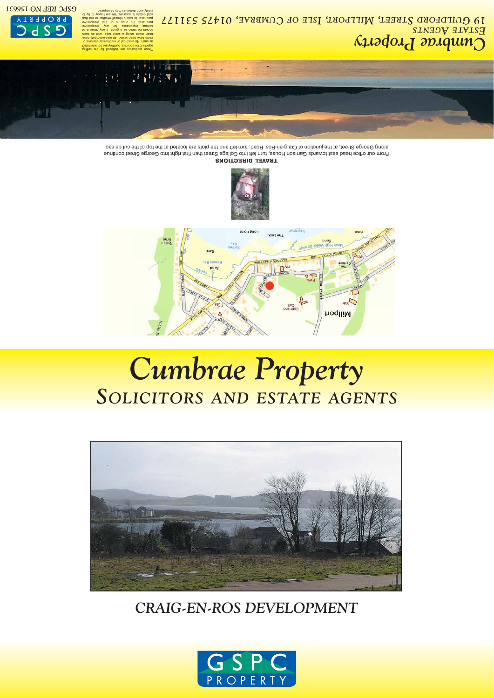*Cumbrae Property GENTS A STATE E , 01475 531177 UMBRAE C SLE OF , I ILLPORT , M TREET S UILDFORD 19 G*

## *CRAIG-EN-ROS DEVELOPMENT*



# *Cumbrae Property SOLICITORS AND ESTATE AGENTS*



**TRAVEL DIRECTIONS** From our office head east towards Garrison House, turn left into College Street then first right into George Street continue along George Street, at the junction of Craig-en-Ros Road, turn left and the plots are located at the top of the cul de sac.





These particulars are believed by the selling agents to be accurate, but they are not warranted as such. No electrical or mechanical systems or iems have beed nested. All measuren bet mains a souje tabe<sup>,</sup> should be taken as a guide. If any detail is of serious importance for any prospective nucusser, the ouns is cusser to satisfy nimself whether or not that said details is accurate. We are happy to try to ed yam as alisteb dous ytinsl